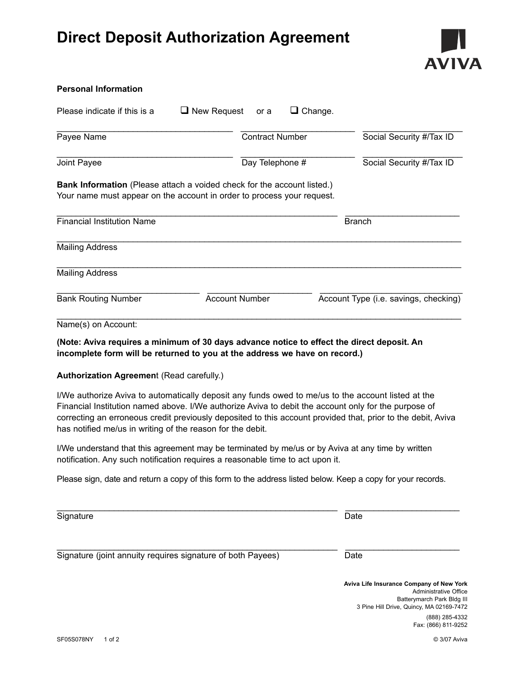## **Direct Deposit Authorization Agreement**



## **Personal Information** Please indicate if this is a  $\Box$  New Request or a  $\Box$  Change. \_\_\_\_\_\_\_\_\_\_\_\_\_\_\_\_\_\_\_\_\_\_\_\_\_\_\_\_\_\_\_\_\_\_\_\_\_ \_\_\_\_\_\_\_\_\_\_\_\_\_\_\_\_\_\_\_\_\_\_\_\_ \_\_\_\_\_\_\_\_\_\_\_\_\_\_\_\_\_\_\_\_\_ Payee Name Contract Number Social Security #/Tax ID \_\_\_\_\_\_\_\_\_\_\_\_\_\_\_\_\_\_\_\_\_\_\_\_\_\_\_\_\_\_\_\_\_\_\_\_\_ \_\_\_\_\_\_\_\_\_\_\_\_\_\_\_\_\_\_\_\_\_\_\_\_ \_\_\_\_\_\_\_\_\_\_\_\_\_\_\_\_\_\_\_\_\_ Joint Payee Day Telephone # Social Security #/Tax ID **Bank Information** (Please attach a voided check for the account listed.) Your name must appear on the account in order to process your request.  $\_$  . The contribution of the contribution of the contribution of the contribution of  $\mathcal{L}_\text{max}$ Financial Institution Name **Branch** Branch  $\_$  . The contribution of the contribution of the contribution of the contribution of the contribution of the contribution of the contribution of the contribution of the contribution of the contribution of the contributio Mailing Address  $\_$  . The contribution of the contribution of the contribution of the contribution of the contribution of the contribution of the contribution of the contribution of the contribution of the contribution of the contributio Mailing Address \_\_\_\_\_\_\_\_\_\_\_\_\_\_\_\_\_\_\_\_\_\_\_\_\_\_\_\_\_\_ \_\_\_\_\_\_\_\_\_\_\_\_\_\_\_\_\_\_\_\_\_\_ \_\_\_\_\_\_\_\_\_\_\_\_\_\_\_\_\_\_\_\_\_\_\_\_\_\_\_\_\_\_ Bank Routing Number **Account Number** Account Type (i.e. savings, checking)  $\_$  . The contribution of the contribution of the contribution of the contribution of the contribution of the contribution of the contribution of the contribution of the contribution of the contribution of the contributio Name(s) on Account: **(Note: Aviva requires a minimum of 30 days advance notice to effect the direct deposit. An incomplete form will be returned to you at the address we have on record.)**

## **Authorization Agreemen**t (Read carefully.)

I/We authorize Aviva to automatically deposit any funds owed to me/us to the account listed at the Financial Institution named above. I/We authorize Aviva to debit the account only for the purpose of correcting an erroneous credit previously deposited to this account provided that, prior to the debit, Aviva has notified me/us in writing of the reason for the debit.

I/We understand that this agreement may be terminated by me/us or by Aviva at any time by written notification. Any such notification requires a reasonable time to act upon it.

Please sign, date and return a copy of this form to the address listed below. Keep a copy for your records.

 $\_$  . The contribution of the contribution of the contribution of the contribution of  $\mathcal{L}_\text{max}$ Signature Date Date Date Contract and Date Date Date Date Date

 $\_$  . The contribution of the contribution of the contribution of the contribution of  $\mathcal{L}_\text{max}$ Signature (joint annuity requires signature of both Payees) Date

**Aviva Life Insurance Company of New York** Administrative Office Batterymarch Park Bldg III 3 Pine Hill Drive, Quincy, MA 02169-7472 (888) 285-4332 Fax: (866) 811-9252